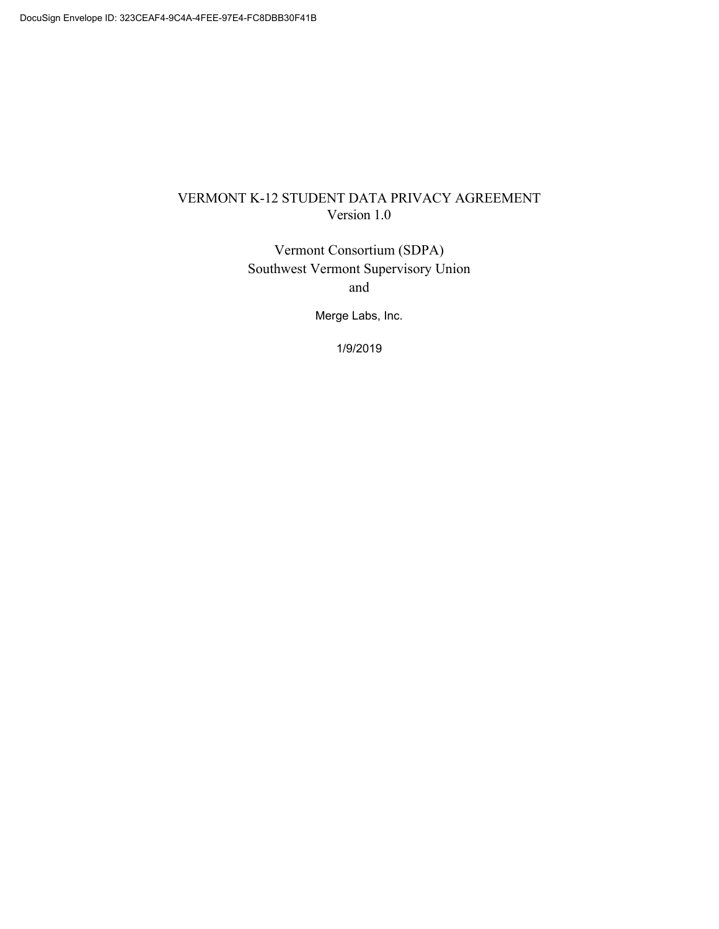## VERMONT K-12 STUDENT DATA PRIVACY AGREEMENT Version 1.0

Vermont Consortium (SDPA) Southwest Vermont Supervisory Union and

Merge Labs, Inc.

1/9/2019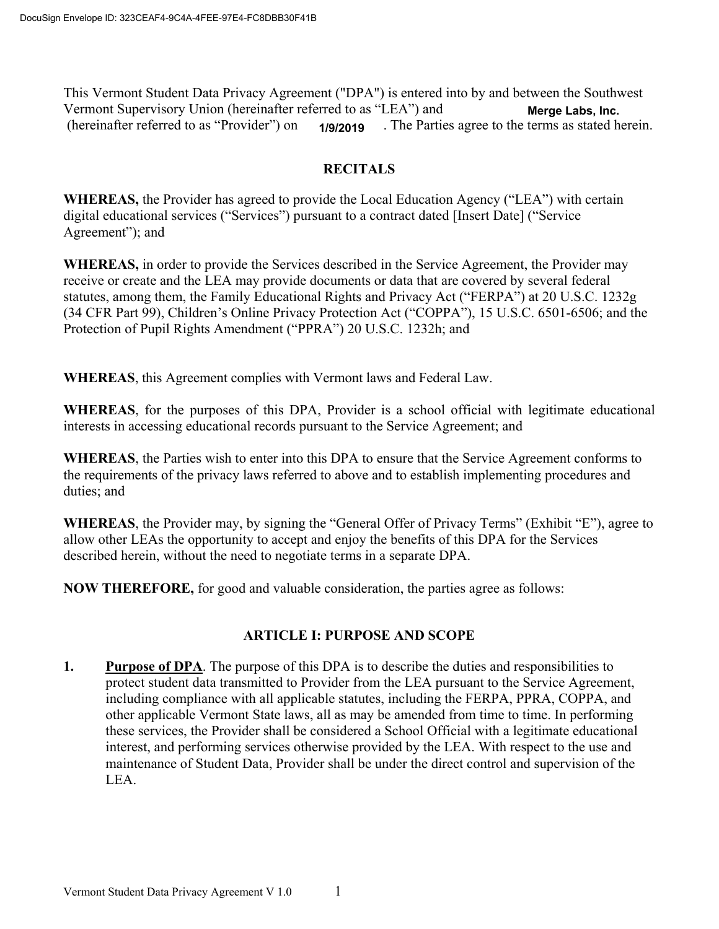This Vermont Student Data Privacy Agreement ("DPA") is entered into by and between the Southwest Vermont Supervisory Union (hereinafter referred to as "LEA") and (hereinafter referred to as "Provider") on **1/9/2019** The Parties agree to the terms as stated herein. **Merge Labs, Inc.**

#### **RECITALS**

**WHEREAS,** the Provider has agreed to provide the Local Education Agency ("LEA") with certain digital educational services ("Services") pursuant to a contract dated [Insert Date] ("Service Agreement"); and

**WHEREAS,** in order to provide the Services described in the Service Agreement, the Provider may receive or create and the LEA may provide documents or data that are covered by several federal statutes, among them, the Family Educational Rights and Privacy Act ("FERPA") at 20 U.S.C. 1232g (34 CFR Part 99), Children's Online Privacy Protection Act ("COPPA"), 15 U.S.C. 6501-6506; and the Protection of Pupil Rights Amendment ("PPRA") 20 U.S.C. 1232h; and

**WHEREAS**, this Agreement complies with Vermont laws and Federal Law.

**WHEREAS**, for the purposes of this DPA, Provider is a school official with legitimate educational interests in accessing educational records pursuant to the Service Agreement; and

**WHEREAS**, the Parties wish to enter into this DPA to ensure that the Service Agreement conforms to the requirements of the privacy laws referred to above and to establish implementing procedures and duties; and

**WHEREAS**, the Provider may, by signing the "General Offer of Privacy Terms" (Exhibit "E"), agree to allow other LEAs the opportunity to accept and enjoy the benefits of this DPA for the Services described herein, without the need to negotiate terms in a separate DPA.

**NOW THEREFORE,** for good and valuable consideration, the parties agree as follows:

#### **ARTICLE I: PURPOSE AND SCOPE**

**1.** Purpose of DPA. The purpose of this DPA is to describe the duties and responsibilities to protect student data transmitted to Provider from the LEA pursuant to the Service Agreement, including compliance with all applicable statutes, including the FERPA, PPRA, COPPA, and other applicable Vermont State laws, all as may be amended from time to time. In performing these services, the Provider shall be considered a School Official with a legitimate educational interest, and performing services otherwise provided by the LEA. With respect to the use and maintenance of Student Data, Provider shall be under the direct control and supervision of the LEA.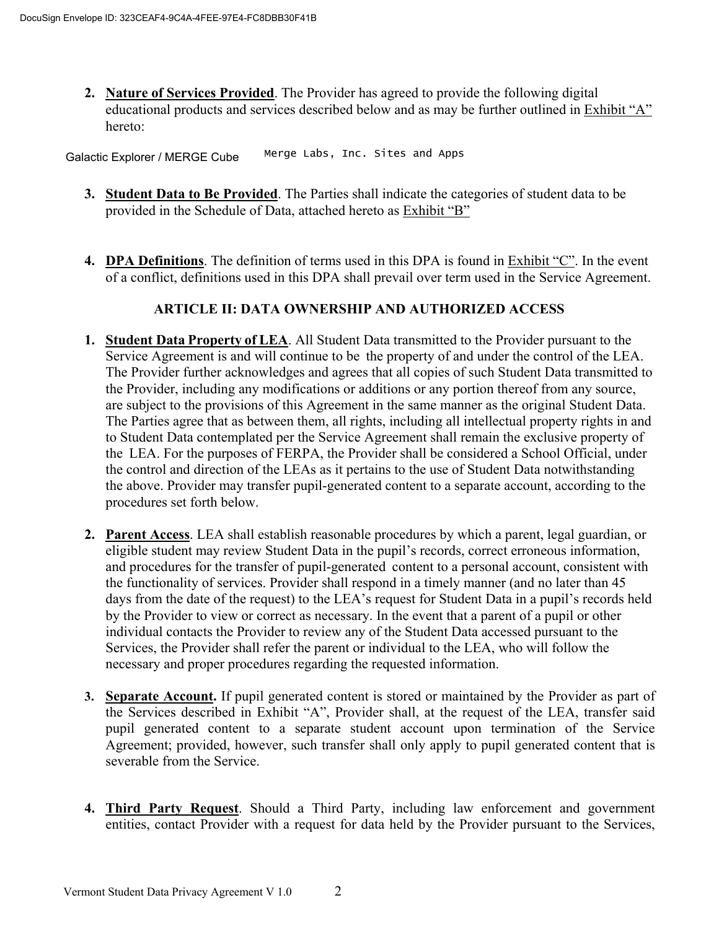**2. Nature of Services Provided**. The Provider has agreed to provide the following digital educational products and services described below and as may be further outlined in Exhibit "A" hereto:

Galactic Explorer / MERGE Cube Merge Labs, Inc. Sites and Apps

- **3. Student Data to Be Provided**. The Parties shall indicate the categories of student data to be provided in the Schedule of Data, attached hereto as Exhibit "B"
- **4. DPA Definitions**. The definition of terms used in this DPA is found in Exhibit "C". In the event of a conflict, definitions used in this DPA shall prevail over term used in the Service Agreement.

## **ARTICLE II: DATA OWNERSHIP AND AUTHORIZED ACCESS**

- **1. Student Data Property of LEA.** All Student Data transmitted to the Provider pursuant to the Service Agreement is and will continue to be the property of and under the control of the LEA. The Provider further acknowledges and agrees that all copies of such Student Data transmitted to the Provider, including any modifications or additions or any portion thereof from any source, are subject to the provisions of this Agreement in the same manner as the original Student Data. The Parties agree that as between them, all rights, including all intellectual property rights in and to Student Data contemplated per the Service Agreement shall remain the exclusive property of the LEA. For the purposes of FERPA, the Provider shall be considered a School Official, under the control and direction of the LEAs as it pertains to the use of Student Data notwithstanding the above. Provider may transfer pupil-generated content to a separate account, according to the procedures set forth below.
- **2. Parent Access**. LEA shall establish reasonable procedures by which a parent, legal guardian, or eligible student may review Student Data in the pupil's records, correct erroneous information, and procedures for the transfer of pupil-generated content to a personal account, consistent with the functionality of services. Provider shall respond in a timely manner (and no later than 45 days from the date of the request) to the LEA's request for Student Data in a pupil's records held by the Provider to view or correct as necessary. In the event that a parent of a pupil or other individual contacts the Provider to review any of the Student Data accessed pursuant to the Services, the Provider shall refer the parent or individual to the LEA, who will follow the necessary and proper procedures regarding the requested information.
- **3. Separate Account.** If pupil generated content is stored or maintained by the Provider as part of the Services described in Exhibit "A", Provider shall, at the request of the LEA, transfer said pupil generated content to a separate student account upon termination of the Service Agreement; provided, however, such transfer shall only apply to pupil generated content that is severable from the Service.
- **4. Third Party Request**. Should a Third Party, including law enforcement and government entities, contact Provider with a request for data held by the Provider pursuant to the Services,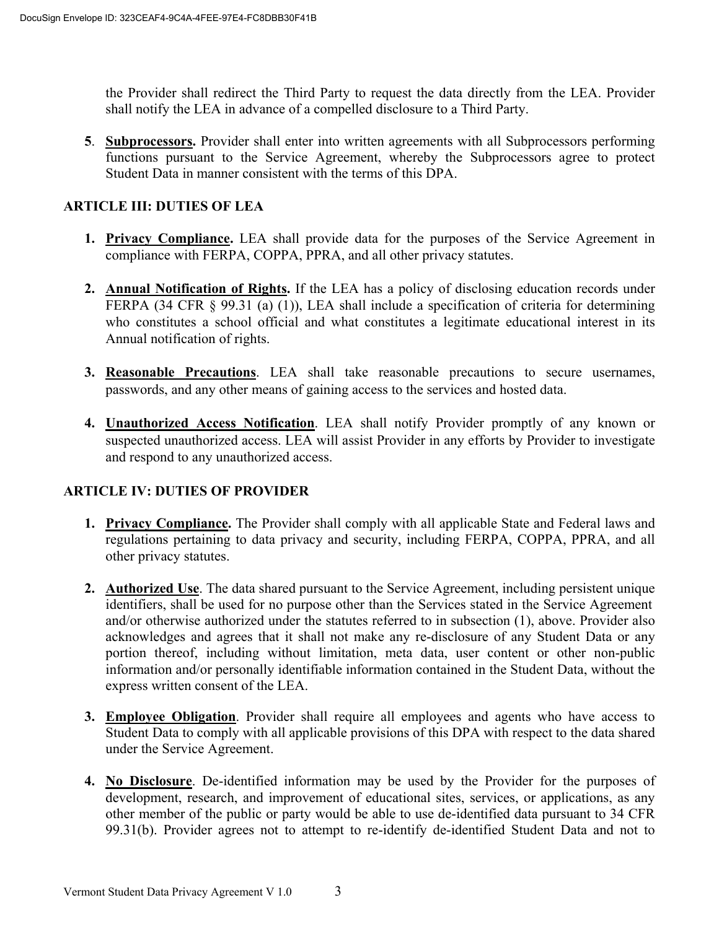the Provider shall redirect the Third Party to request the data directly from the LEA. Provider shall notify the LEA in advance of a compelled disclosure to a Third Party.

**5**. **Subprocessors.** Provider shall enter into written agreements with all Subprocessors performing functions pursuant to the Service Agreement, whereby the Subprocessors agree to protect Student Data in manner consistent with the terms of this DPA.

### **ARTICLE III: DUTIES OF LEA**

- **1. Privacy Compliance.** LEA shall provide data for the purposes of the Service Agreement in compliance with FERPA, COPPA, PPRA, and all other privacy statutes.
- **2. Annual Notification of Rights.** If the LEA has a policy of disclosing education records under FERPA (34 CFR § 99.31 (a) (1)), LEA shall include a specification of criteria for determining who constitutes a school official and what constitutes a legitimate educational interest in its Annual notification of rights.
- **3. Reasonable Precautions**. LEA shall take reasonable precautions to secure usernames, passwords, and any other means of gaining access to the services and hosted data.
- **4. Unauthorized Access Notification**. LEA shall notify Provider promptly of any known or suspected unauthorized access. LEA will assist Provider in any efforts by Provider to investigate and respond to any unauthorized access.

### **ARTICLE IV: DUTIES OF PROVIDER**

- **1. Privacy Compliance.** The Provider shall comply with all applicable State and Federal laws and regulations pertaining to data privacy and security, including FERPA, COPPA, PPRA, and all other privacy statutes.
- **2. Authorized Use**. The data shared pursuant to the Service Agreement, including persistent unique identifiers, shall be used for no purpose other than the Services stated in the Service Agreement and/or otherwise authorized under the statutes referred to in subsection (1), above. Provider also acknowledges and agrees that it shall not make any re-disclosure of any Student Data or any portion thereof, including without limitation, meta data, user content or other non-public information and/or personally identifiable information contained in the Student Data, without the express written consent of the LEA.
- **3. Employee Obligation**. Provider shall require all employees and agents who have access to Student Data to comply with all applicable provisions of this DPA with respect to the data shared under the Service Agreement.
- **4. No Disclosure**. De-identified information may be used by the Provider for the purposes of development, research, and improvement of educational sites, services, or applications, as any other member of the public or party would be able to use de-identified data pursuant to 34 CFR 99.31(b). Provider agrees not to attempt to re-identify de-identified Student Data and not to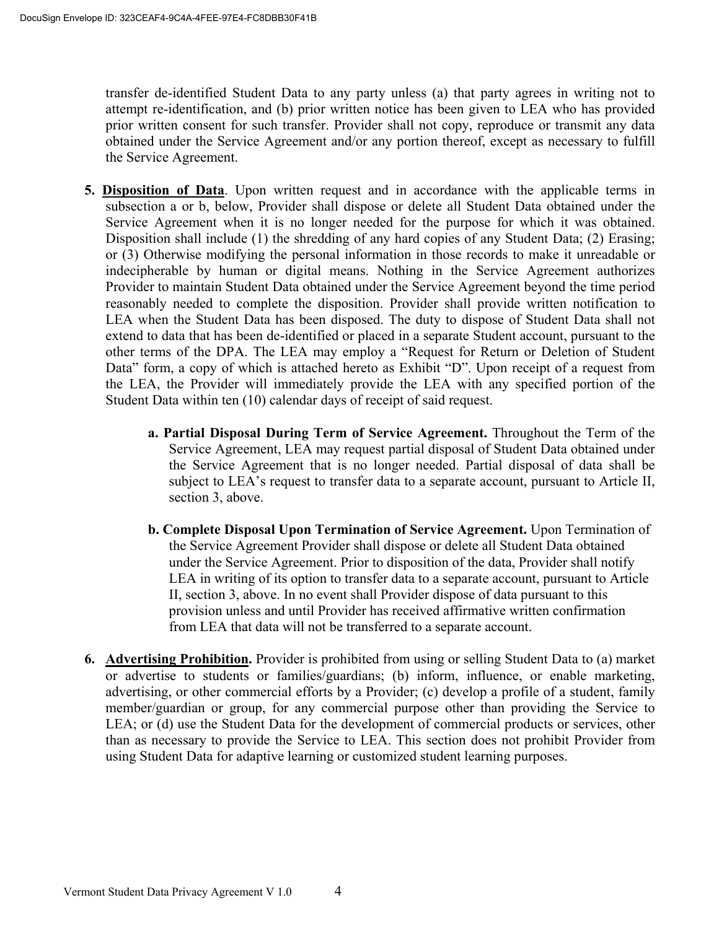transfer de-identified Student Data to any party unless (a) that party agrees in writing not to attempt re-identification, and (b) prior written notice has been given to LEA who has provided prior written consent for such transfer. Provider shall not copy, reproduce or transmit any data obtained under the Service Agreement and/or any portion thereof, except as necessary to fulfill the Service Agreement.

- **5. Disposition of Data**. Upon written request and in accordance with the applicable terms in subsection a or b, below, Provider shall dispose or delete all Student Data obtained under the Service Agreement when it is no longer needed for the purpose for which it was obtained. Disposition shall include (1) the shredding of any hard copies of any Student Data; (2) Erasing; or (3) Otherwise modifying the personal information in those records to make it unreadable or indecipherable by human or digital means. Nothing in the Service Agreement authorizes Provider to maintain Student Data obtained under the Service Agreement beyond the time period reasonably needed to complete the disposition. Provider shall provide written notification to LEA when the Student Data has been disposed. The duty to dispose of Student Data shall not extend to data that has been de-identified or placed in a separate Student account, pursuant to the other terms of the DPA. The LEA may employ a "Request for Return or Deletion of Student Data" form, a copy of which is attached hereto as Exhibit "D". Upon receipt of a request from the LEA, the Provider will immediately provide the LEA with any specified portion of the Student Data within ten (10) calendar days of receipt of said request.
	- **a. Partial Disposal During Term of Service Agreement.** Throughout the Term of the Service Agreement, LEA may request partial disposal of Student Data obtained under the Service Agreement that is no longer needed. Partial disposal of data shall be subject to LEA's request to transfer data to a separate account, pursuant to Article II, section 3, above.
	- **b. Complete Disposal Upon Termination of Service Agreement.** Upon Termination of the Service Agreement Provider shall dispose or delete all Student Data obtained under the Service Agreement. Prior to disposition of the data, Provider shall notify LEA in writing of its option to transfer data to a separate account, pursuant to Article II, section 3, above. In no event shall Provider dispose of data pursuant to this provision unless and until Provider has received affirmative written confirmation from LEA that data will not be transferred to a separate account.
- **6. Advertising Prohibition.** Provider is prohibited from using or selling Student Data to (a) market or advertise to students or families/guardians; (b) inform, influence, or enable marketing, advertising, or other commercial efforts by a Provider; (c) develop a profile of a student, family member/guardian or group, for any commercial purpose other than providing the Service to LEA; or (d) use the Student Data for the development of commercial products or services, other than as necessary to provide the Service to LEA. This section does not prohibit Provider from using Student Data for adaptive learning or customized student learning purposes.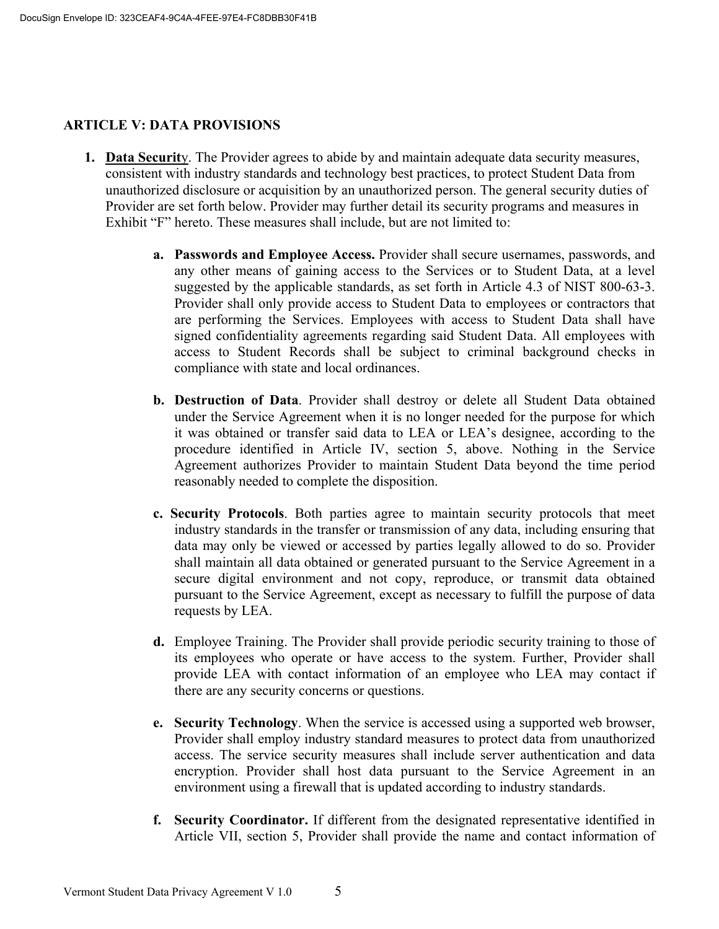#### **ARTICLE V: DATA PROVISIONS**

- **1. Data Securit**y. The Provider agrees to abide by and maintain adequate data security measures, consistent with industry standards and technology best practices, to protect Student Data from unauthorized disclosure or acquisition by an unauthorized person. The general security duties of Provider are set forth below. Provider may further detail its security programs and measures in Exhibit "F" hereto. These measures shall include, but are not limited to:
	- **a. Passwords and Employee Access.** Provider shall secure usernames, passwords, and any other means of gaining access to the Services or to Student Data, at a level suggested by the applicable standards, as set forth in Article 4.3 of NIST 800-63-3. Provider shall only provide access to Student Data to employees or contractors that are performing the Services. Employees with access to Student Data shall have signed confidentiality agreements regarding said Student Data. All employees with access to Student Records shall be subject to criminal background checks in compliance with state and local ordinances.
	- **b. Destruction of Data**. Provider shall destroy or delete all Student Data obtained under the Service Agreement when it is no longer needed for the purpose for which it was obtained or transfer said data to LEA or LEA's designee, according to the procedure identified in Article IV, section 5, above. Nothing in the Service Agreement authorizes Provider to maintain Student Data beyond the time period reasonably needed to complete the disposition.
	- **c. Security Protocols**. Both parties agree to maintain security protocols that meet industry standards in the transfer or transmission of any data, including ensuring that data may only be viewed or accessed by parties legally allowed to do so. Provider shall maintain all data obtained or generated pursuant to the Service Agreement in a secure digital environment and not copy, reproduce, or transmit data obtained pursuant to the Service Agreement, except as necessary to fulfill the purpose of data requests by LEA.
	- **d.** Employee Training. The Provider shall provide periodic security training to those of its employees who operate or have access to the system. Further, Provider shall provide LEA with contact information of an employee who LEA may contact if there are any security concerns or questions.
	- **e. Security Technology**. When the service is accessed using a supported web browser, Provider shall employ industry standard measures to protect data from unauthorized access. The service security measures shall include server authentication and data encryption. Provider shall host data pursuant to the Service Agreement in an environment using a firewall that is updated according to industry standards.
	- **f. Security Coordinator.** If different from the designated representative identified in Article VII, section 5, Provider shall provide the name and contact information of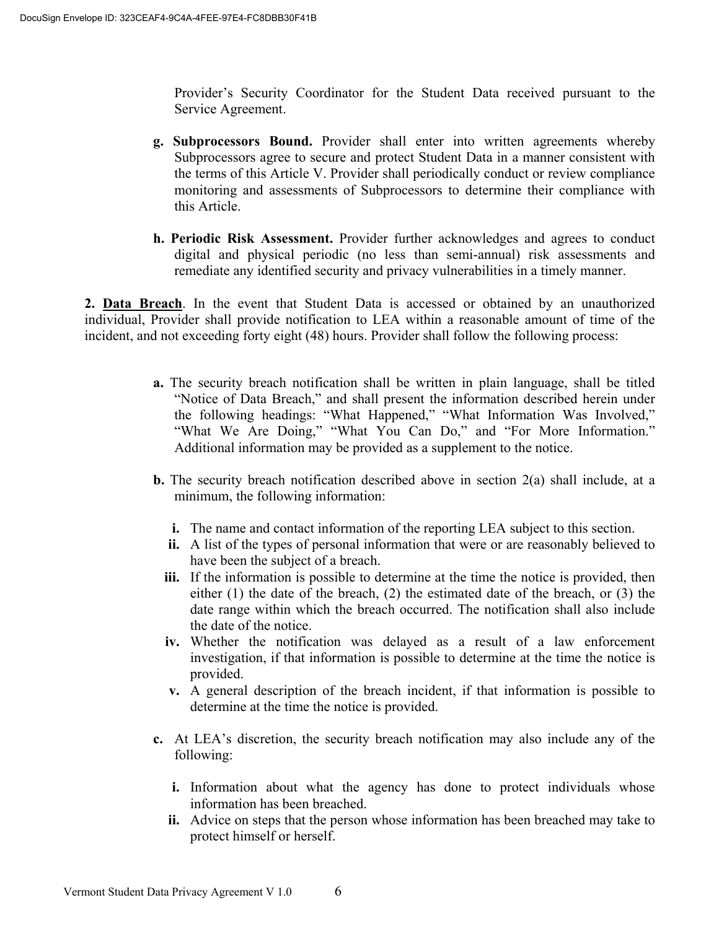Provider's Security Coordinator for the Student Data received pursuant to the Service Agreement.

- **g. Subprocessors Bound.** Provider shall enter into written agreements whereby Subprocessors agree to secure and protect Student Data in a manner consistent with the terms of this Article V. Provider shall periodically conduct or review compliance monitoring and assessments of Subprocessors to determine their compliance with this Article.
- **h. Periodic Risk Assessment.** Provider further acknowledges and agrees to conduct digital and physical periodic (no less than semi-annual) risk assessments and remediate any identified security and privacy vulnerabilities in a timely manner.

**2. Data Breach**. In the event that Student Data is accessed or obtained by an unauthorized individual, Provider shall provide notification to LEA within a reasonable amount of time of the incident, and not exceeding forty eight (48) hours. Provider shall follow the following process:

- **a.** The security breach notification shall be written in plain language, shall be titled "Notice of Data Breach," and shall present the information described herein under the following headings: "What Happened," "What Information Was Involved," "What We Are Doing," "What You Can Do," and "For More Information." Additional information may be provided as a supplement to the notice.
- **b.** The security breach notification described above in section 2(a) shall include, at a minimum, the following information:
	- **i.** The name and contact information of the reporting LEA subject to this section.
	- **ii.** A list of the types of personal information that were or are reasonably believed to have been the subject of a breach.
	- **iii.** If the information is possible to determine at the time the notice is provided, then either (1) the date of the breach, (2) the estimated date of the breach, or (3) the date range within which the breach occurred. The notification shall also include the date of the notice.
	- **iv.** Whether the notification was delayed as a result of a law enforcement investigation, if that information is possible to determine at the time the notice is provided.
	- **v.** A general description of the breach incident, if that information is possible to determine at the time the notice is provided.
- **c.** At LEA's discretion, the security breach notification may also include any of the following:
	- **i.** Information about what the agency has done to protect individuals whose information has been breached.
	- **ii.** Advice on steps that the person whose information has been breached may take to protect himself or herself.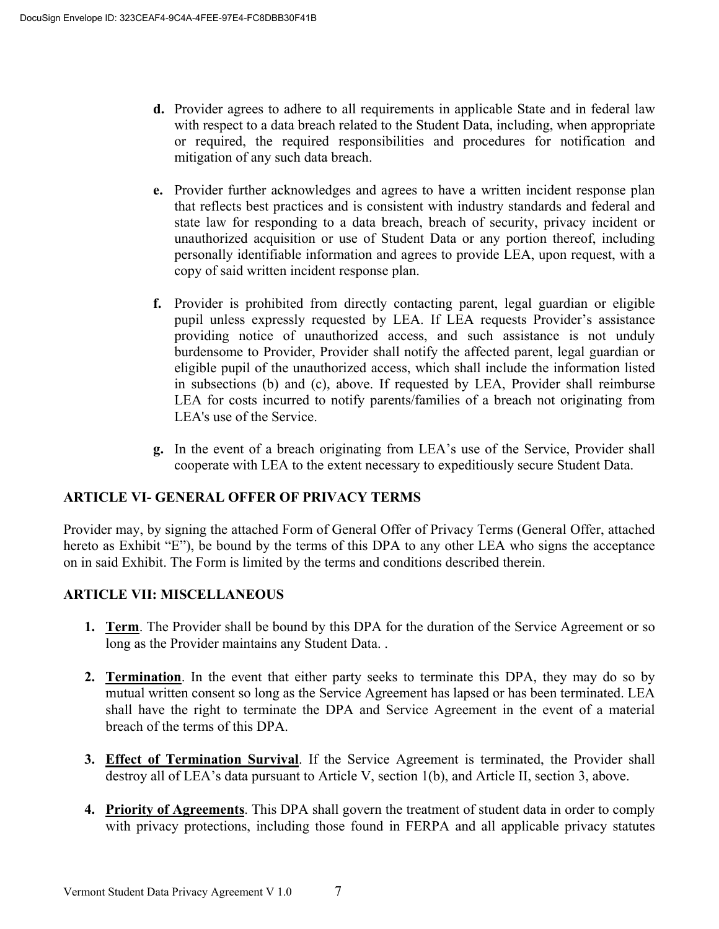- **d.** Provider agrees to adhere to all requirements in applicable State and in federal law with respect to a data breach related to the Student Data, including, when appropriate or required, the required responsibilities and procedures for notification and mitigation of any such data breach.
- **e.** Provider further acknowledges and agrees to have a written incident response plan that reflects best practices and is consistent with industry standards and federal and state law for responding to a data breach, breach of security, privacy incident or unauthorized acquisition or use of Student Data or any portion thereof, including personally identifiable information and agrees to provide LEA, upon request, with a copy of said written incident response plan.
- **f.** Provider is prohibited from directly contacting parent, legal guardian or eligible pupil unless expressly requested by LEA. If LEA requests Provider's assistance providing notice of unauthorized access, and such assistance is not unduly burdensome to Provider, Provider shall notify the affected parent, legal guardian or eligible pupil of the unauthorized access, which shall include the information listed in subsections (b) and (c), above. If requested by LEA, Provider shall reimburse LEA for costs incurred to notify parents/families of a breach not originating from LEA's use of the Service.
- **g.** In the event of a breach originating from LEA's use of the Service, Provider shall cooperate with LEA to the extent necessary to expeditiously secure Student Data.

# **ARTICLE VI- GENERAL OFFER OF PRIVACY TERMS**

Provider may, by signing the attached Form of General Offer of Privacy Terms (General Offer, attached hereto as Exhibit "E"), be bound by the terms of this DPA to any other LEA who signs the acceptance on in said Exhibit. The Form is limited by the terms and conditions described therein.

### **ARTICLE VII: MISCELLANEOUS**

- **1. Term**. The Provider shall be bound by this DPA for the duration of the Service Agreement or so long as the Provider maintains any Student Data. .
- **2. Termination**. In the event that either party seeks to terminate this DPA, they may do so by mutual written consent so long as the Service Agreement has lapsed or has been terminated. LEA shall have the right to terminate the DPA and Service Agreement in the event of a material breach of the terms of this DPA.
- **3. Effect of Termination Survival**. If the Service Agreement is terminated, the Provider shall destroy all of LEA's data pursuant to Article V, section 1(b), and Article II, section 3, above.
- **4. Priority of Agreements**. This DPA shall govern the treatment of student data in order to comply with privacy protections, including those found in FERPA and all applicable privacy statutes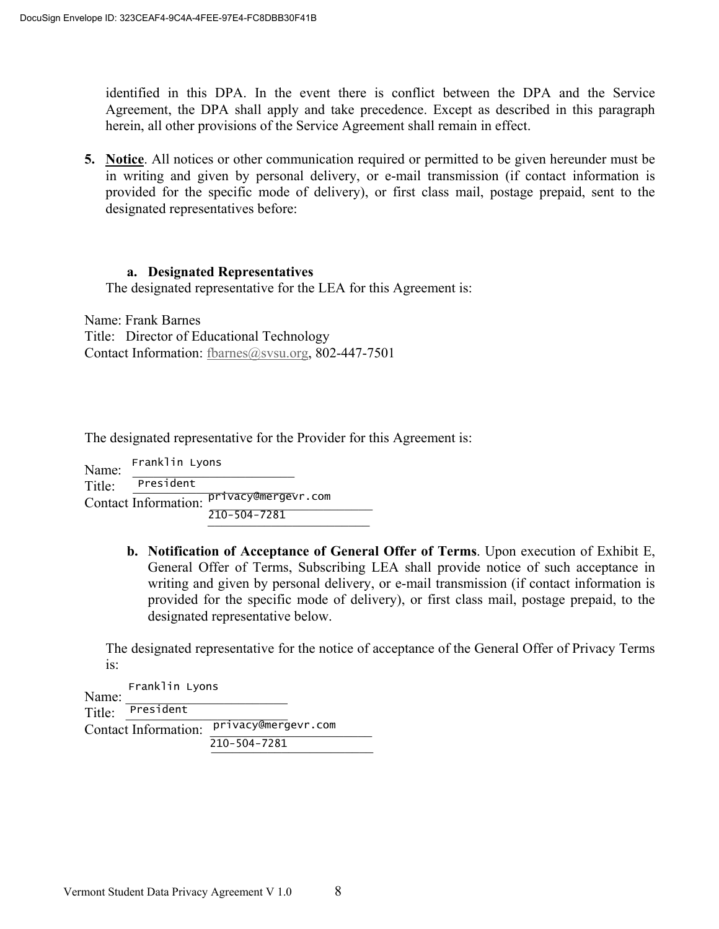identified in this DPA. In the event there is conflict between the DPA and the Service Agreement, the DPA shall apply and take precedence. Except as described in this paragraph herein, all other provisions of the Service Agreement shall remain in effect.

**5. Notice**. All notices or other communication required or permitted to be given hereunder must be in writing and given by personal delivery, or e-mail transmission (if contact information is provided for the specific mode of delivery), or first class mail, postage prepaid, sent to the designated representatives before:

#### **a. Designated Representatives**

The designated representative for the LEA for this Agreement is:

Name: Frank Barnes Title: Director of Educational Technology Contact Information: fbarnes@svsu.org, 802-447-7501

The designated representative for the Provider for this Agreement is:

| Name:  | Franklin Lyons              |                     |
|--------|-----------------------------|---------------------|
| Title: | President                   |                     |
|        | <b>Contact Information:</b> | privacy@mergevr.com |
|        |                             | $210 - 504 - 7281$  |

**b. Notification of Acceptance of General Offer of Terms**. Upon execution of Exhibit E, General Offer of Terms, Subscribing LEA shall provide notice of such acceptance in writing and given by personal delivery, or e-mail transmission (if contact information is provided for the specific mode of delivery), or first class mail, postage prepaid, to the designated representative below.

The designated representative for the notice of acceptance of the General Offer of Privacy Terms is:

Name:  $Title:$  President Contact Information: privacy@mergevr.com  $210 - 504 - 7281$ President Franklin Lyons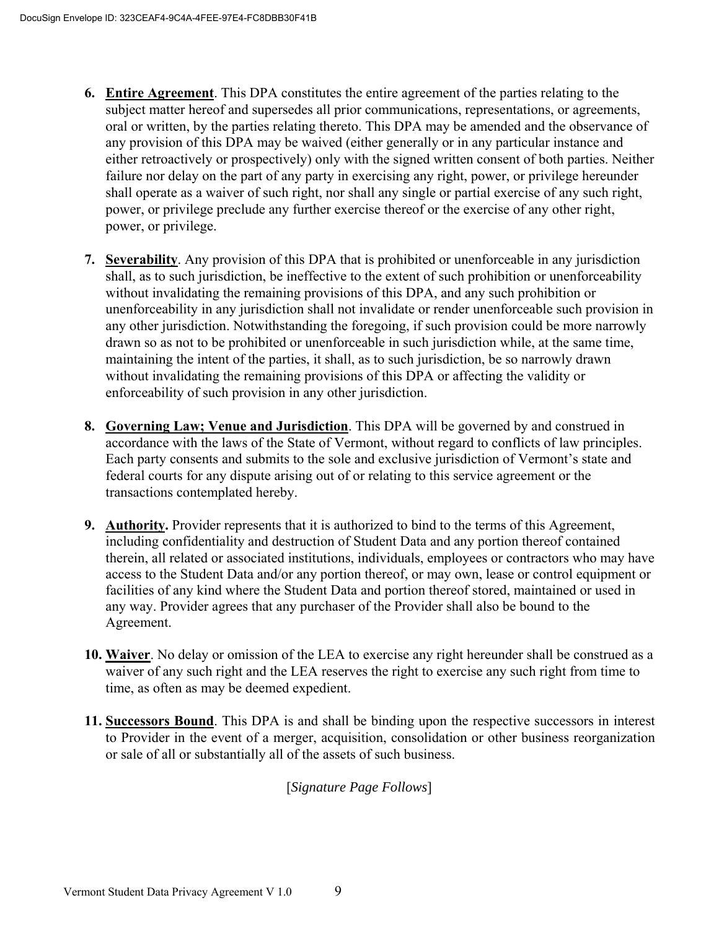- **6. Entire Agreement**. This DPA constitutes the entire agreement of the parties relating to the subject matter hereof and supersedes all prior communications, representations, or agreements, oral or written, by the parties relating thereto. This DPA may be amended and the observance of any provision of this DPA may be waived (either generally or in any particular instance and either retroactively or prospectively) only with the signed written consent of both parties. Neither failure nor delay on the part of any party in exercising any right, power, or privilege hereunder shall operate as a waiver of such right, nor shall any single or partial exercise of any such right, power, or privilege preclude any further exercise thereof or the exercise of any other right, power, or privilege.
- **7. Severability**. Any provision of this DPA that is prohibited or unenforceable in any jurisdiction shall, as to such jurisdiction, be ineffective to the extent of such prohibition or unenforceability without invalidating the remaining provisions of this DPA, and any such prohibition or unenforceability in any jurisdiction shall not invalidate or render unenforceable such provision in any other jurisdiction. Notwithstanding the foregoing, if such provision could be more narrowly drawn so as not to be prohibited or unenforceable in such jurisdiction while, at the same time, maintaining the intent of the parties, it shall, as to such jurisdiction, be so narrowly drawn without invalidating the remaining provisions of this DPA or affecting the validity or enforceability of such provision in any other jurisdiction.
- **8. Governing Law; Venue and Jurisdiction**. This DPA will be governed by and construed in accordance with the laws of the State of Vermont, without regard to conflicts of law principles. Each party consents and submits to the sole and exclusive jurisdiction of Vermont's state and federal courts for any dispute arising out of or relating to this service agreement or the transactions contemplated hereby.
- **9. Authority.** Provider represents that it is authorized to bind to the terms of this Agreement, including confidentiality and destruction of Student Data and any portion thereof contained therein, all related or associated institutions, individuals, employees or contractors who may have access to the Student Data and/or any portion thereof, or may own, lease or control equipment or facilities of any kind where the Student Data and portion thereof stored, maintained or used in any way. Provider agrees that any purchaser of the Provider shall also be bound to the Agreement.
- **10. Waiver**. No delay or omission of the LEA to exercise any right hereunder shall be construed as a waiver of any such right and the LEA reserves the right to exercise any such right from time to time, as often as may be deemed expedient.
- **11. Successors Bound**. This DPA is and shall be binding upon the respective successors in interest to Provider in the event of a merger, acquisition, consolidation or other business reorganization or sale of all or substantially all of the assets of such business.

[*Signature Page Follows*]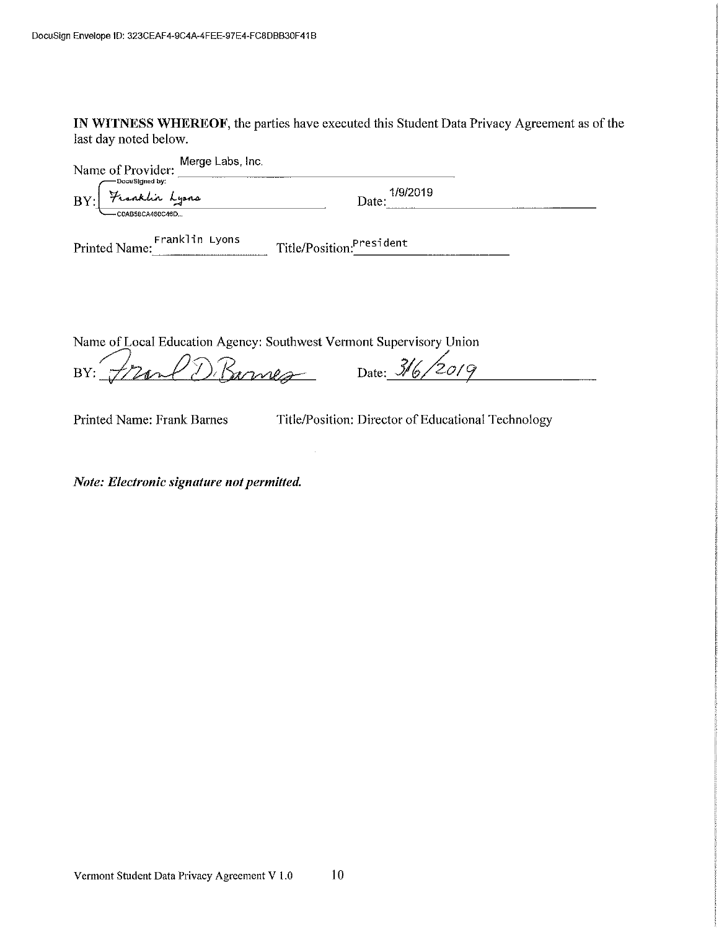IN WITNESS WHEREOF, the parties have executed this Student Data Privacy Agreement as of the last day noted below.

| Name of Provider: Merge Labs, Inc.                  |                          |  |
|-----------------------------------------------------|--------------------------|--|
| -DocuSigned by:<br>BY: Franklin Lyons               | 1/9/2019<br>Date:        |  |
| -C0AB58CA460C46D<br>Franklin Lyons<br>Printed Name: | Title/Position:President |  |
|                                                     |                          |  |

Name of Local Education Agency: Southwest Vermont Supervisory Union

BY: Frank D. Barnes Date: 316/2019

Printed Name: Frank Barnes

Title/Position: Director of Educational Technology

Note: Electronic signature not permitted.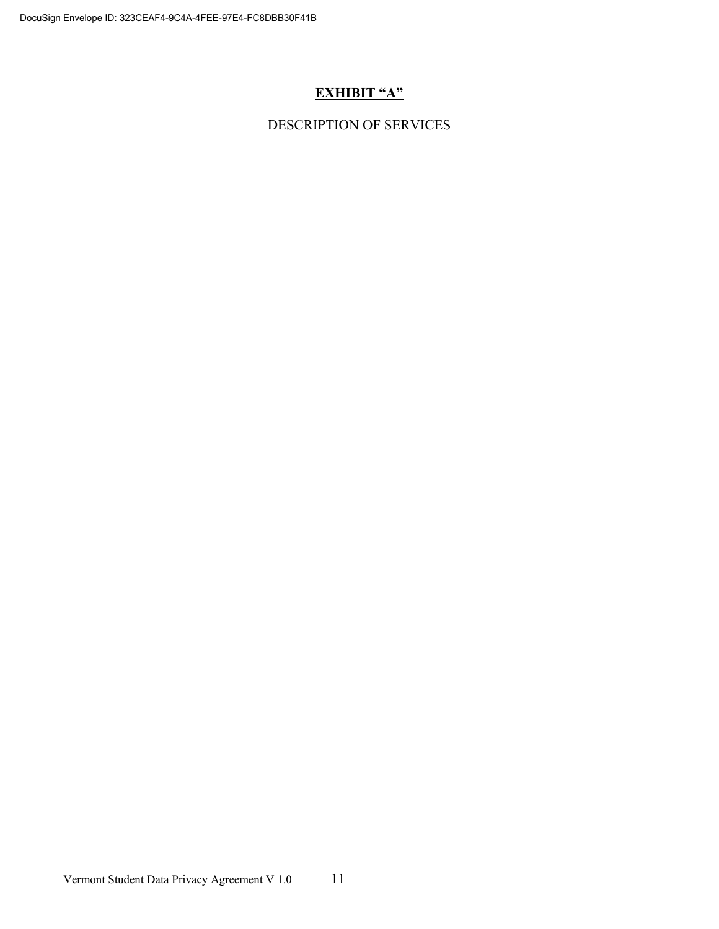# **EXHIBIT "A"**

DESCRIPTION OF SERVICES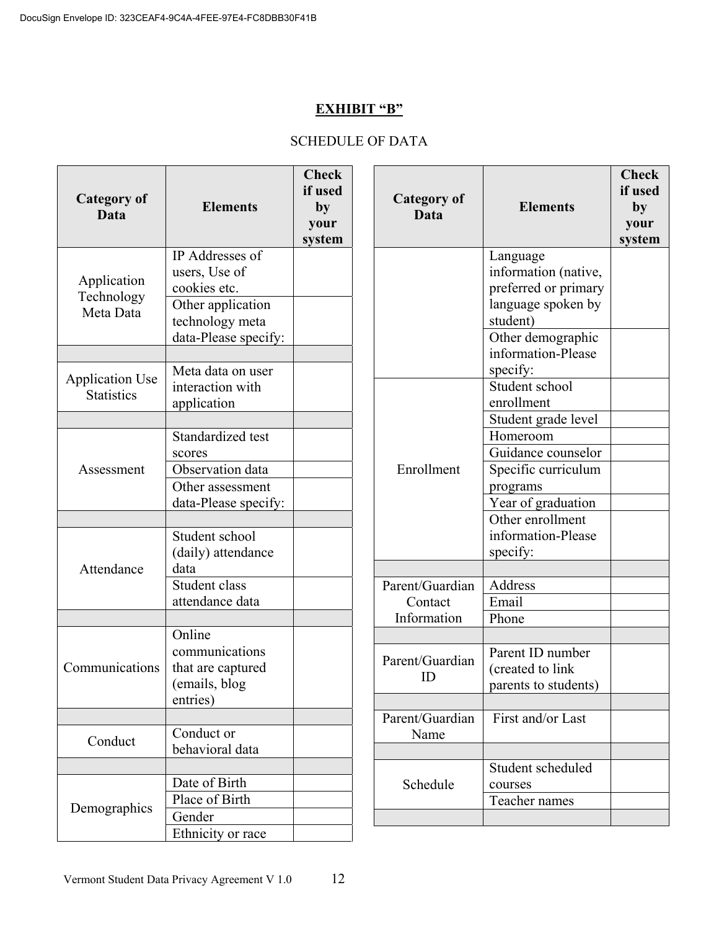### **EXHIBIT "B"**

# SCHEDULE OF DATA

| <b>Category of</b><br>Data                  | <b>Elements</b>                                                                                                  | <b>Check</b><br>if used<br>by<br>your<br>system | <b>Category of</b><br>Data                | <b>Elements</b>                                                                                                 | <b>Check</b><br>if used<br>by<br>your<br>system |
|---------------------------------------------|------------------------------------------------------------------------------------------------------------------|-------------------------------------------------|-------------------------------------------|-----------------------------------------------------------------------------------------------------------------|-------------------------------------------------|
| Application<br>Technology<br>Meta Data      | IP Addresses of<br>users, Use of<br>cookies etc.<br>Other application<br>technology meta<br>data-Please specify: |                                                 |                                           | Language<br>information (native,<br>preferred or primary<br>language spoken by<br>student)<br>Other demographic |                                                 |
| <b>Application Use</b><br><b>Statistics</b> | Meta data on user<br>interaction with<br>application                                                             |                                                 |                                           | information-Please<br>specify:<br>Student school<br>enrollment<br>Student grade level                           |                                                 |
| Assessment                                  | Standardized test<br>scores<br>Observation data<br>Other assessment<br>data-Please specify:                      |                                                 | Enrollment                                | Homeroom<br>Guidance counselor<br>Specific curriculum<br>programs<br>Year of graduation                         |                                                 |
| Attendance                                  | Student school<br>(daily) attendance<br>data                                                                     |                                                 |                                           | Other enrollment<br>information-Please<br>specify:                                                              |                                                 |
|                                             | Student class<br>attendance data                                                                                 |                                                 | Parent/Guardian<br>Contact<br>Information | Address<br>Email<br>Phone                                                                                       |                                                 |
| Communications                              | Online<br>communications<br>that are captured<br>(emails, blog<br>entries)                                       |                                                 | Parent/Guardian<br>ID                     | Parent ID number<br>(created to link<br>parents to students)                                                    |                                                 |
| Conduct                                     | Conduct or<br>behavioral data                                                                                    |                                                 | Parent/Guardian<br>Name                   | First and/or Last                                                                                               |                                                 |
| Demographics                                | Date of Birth<br>Place of Birth<br>Gender                                                                        |                                                 | Schedule                                  | Student scheduled<br>courses<br>Teacher names                                                                   |                                                 |
|                                             | Ethnicity or race                                                                                                |                                                 |                                           |                                                                                                                 |                                                 |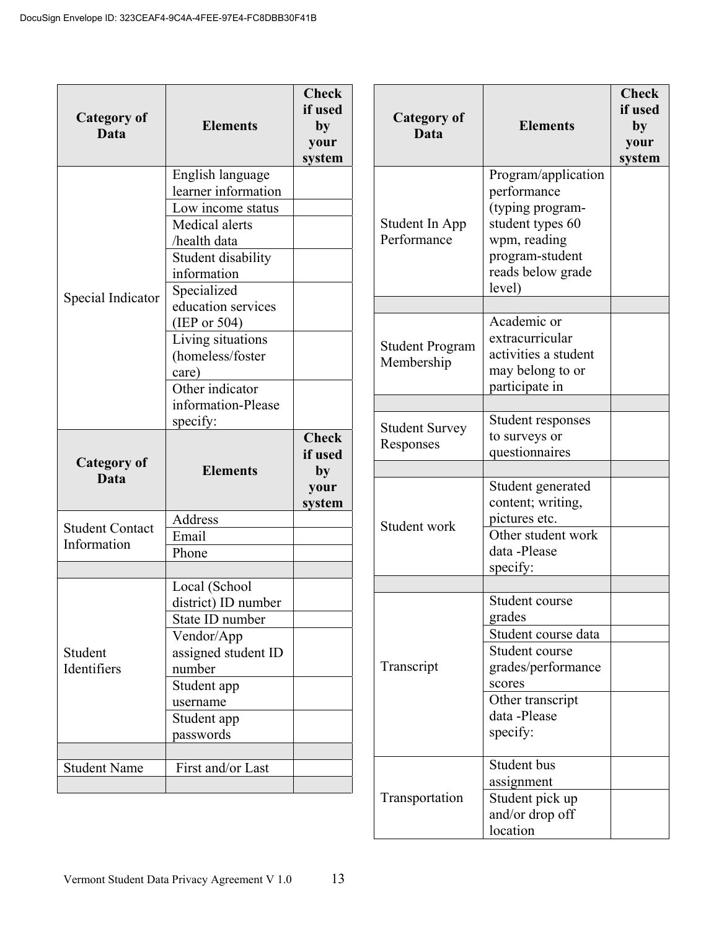| <b>Category of</b><br>Data            | <b>Elements</b>                                                                                                                                    | <b>Check</b><br>if used<br>by<br>your<br>system | <b>Category of</b><br>Data           | <b>Elements</b>                                                                                                                              | <b>Check</b><br>if used<br>by<br>your<br>system |
|---------------------------------------|----------------------------------------------------------------------------------------------------------------------------------------------------|-------------------------------------------------|--------------------------------------|----------------------------------------------------------------------------------------------------------------------------------------------|-------------------------------------------------|
| Special Indicator                     | English language<br>learner information<br>Low income status<br>Medical alerts<br>/health data<br>Student disability<br>information<br>Specialized |                                                 | Student In App<br>Performance        | Program/application<br>performance<br>(typing program-<br>student types 60<br>wpm, reading<br>program-student<br>reads below grade<br>level) |                                                 |
|                                       | education services<br>(IEP or 504)<br>Living situations<br>(homeless/foster<br>care)<br>Other indicator<br>information-Please                      |                                                 | <b>Student Program</b><br>Membership | Academic or<br>extracurricular<br>activities a student<br>may belong to or<br>participate in                                                 |                                                 |
| <b>Category of</b><br>Data            | specify:<br><b>Elements</b>                                                                                                                        | <b>Check</b><br>if used<br>by                   | <b>Student Survey</b><br>Responses   | Student responses<br>to surveys or<br>questionnaires                                                                                         |                                                 |
| <b>Student Contact</b><br>Information | Address<br>Email<br>Phone                                                                                                                          | your<br>system                                  | Student work                         | Student generated<br>content; writing,<br>pictures etc.<br>Other student work<br>data -Please<br>specify:                                    |                                                 |
| Student<br>Identifiers                | Local (School<br>district) ID number<br>State ID number<br>Vendor/App<br>assigned student ID<br>number<br>Student app<br>username                  |                                                 | Transcript                           | Student course<br>grades<br>Student course data<br>Student course<br>grades/performance<br>scores<br>Other transcript<br>data -Please        |                                                 |
| <b>Student Name</b>                   | Student app<br>passwords<br>First and/or Last                                                                                                      |                                                 | Transportation                       | specify:<br>Student bus<br>assignment<br>Student pick up<br>and/or drop off                                                                  |                                                 |

location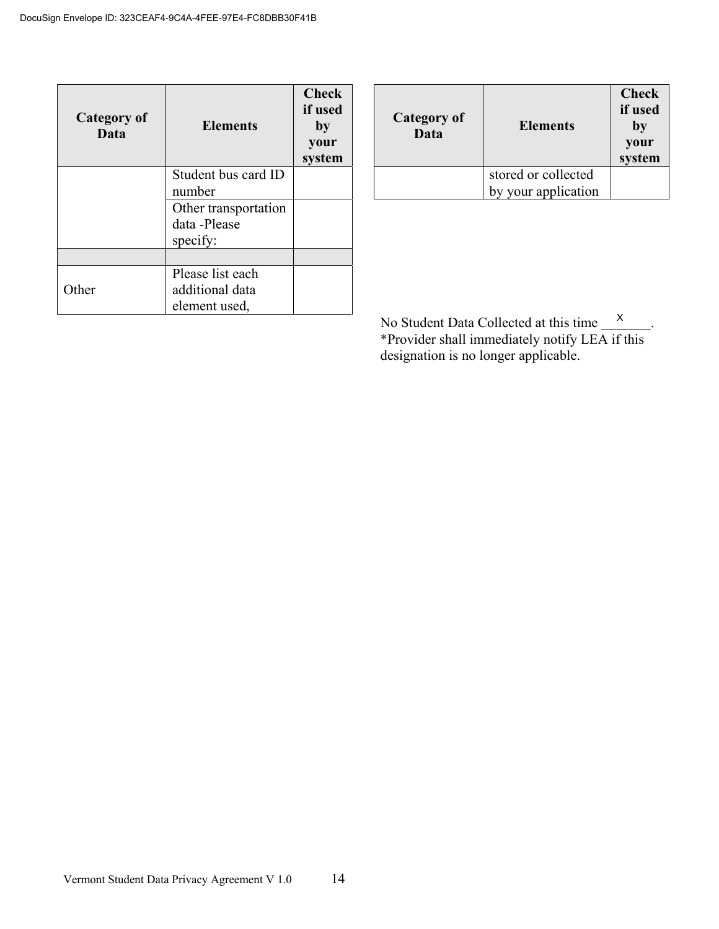| <b>Category of</b><br>Data | <b>Elements</b>      | <b>Check</b><br>if used<br>by<br>your<br>system |
|----------------------------|----------------------|-------------------------------------------------|
|                            | Student bus card ID  |                                                 |
|                            | number               |                                                 |
|                            | Other transportation |                                                 |
|                            | data -Please         |                                                 |
|                            | specify:             |                                                 |
|                            |                      |                                                 |
|                            | Please list each     |                                                 |
| Other                      | additional data      |                                                 |
|                            | element used,        |                                                 |

| Category of<br>Data | <b>Elements</b>                            | <b>Check</b><br>if used<br>by<br>your<br>system |
|---------------------|--------------------------------------------|-------------------------------------------------|
|                     | stored or collected<br>by your application |                                                 |

No Student Data Collected at this time  $\lambda$  . \*Provider shall immediately notify LEA if this designation is no longer applicable. X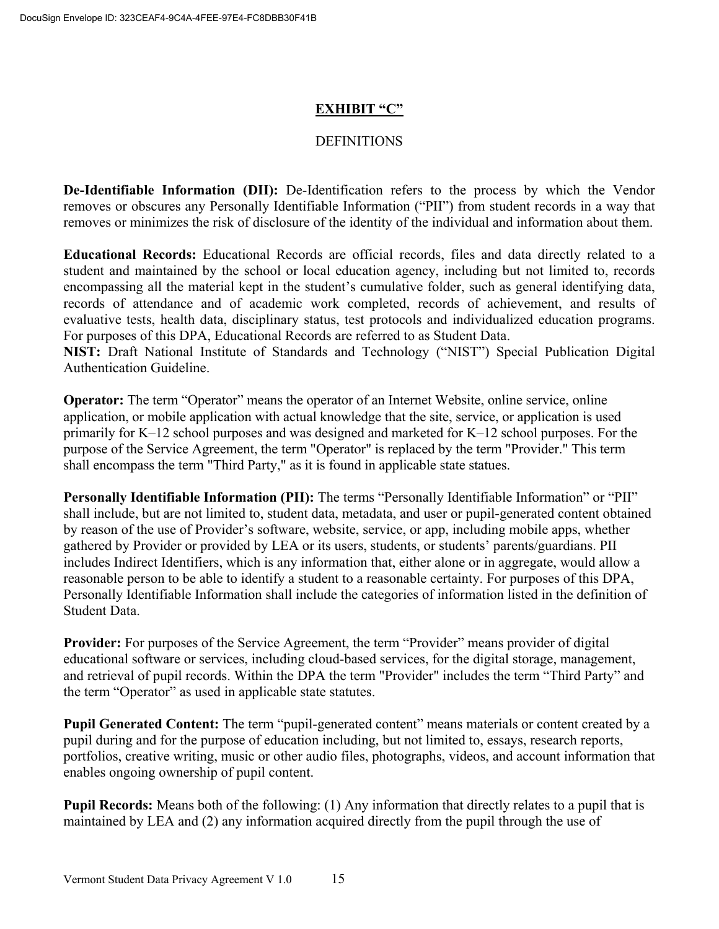## **EXHIBIT "C"**

### **DEFINITIONS**

**De-Identifiable Information (DII):** De-Identification refers to the process by which the Vendor removes or obscures any Personally Identifiable Information ("PII") from student records in a way that removes or minimizes the risk of disclosure of the identity of the individual and information about them.

**Educational Records:** Educational Records are official records, files and data directly related to a student and maintained by the school or local education agency, including but not limited to, records encompassing all the material kept in the student's cumulative folder, such as general identifying data, records of attendance and of academic work completed, records of achievement, and results of evaluative tests, health data, disciplinary status, test protocols and individualized education programs. For purposes of this DPA, Educational Records are referred to as Student Data.

**NIST:** Draft National Institute of Standards and Technology ("NIST") Special Publication Digital Authentication Guideline.

**Operator:** The term "Operator" means the operator of an Internet Website, online service, online application, or mobile application with actual knowledge that the site, service, or application is used primarily for K–12 school purposes and was designed and marketed for K–12 school purposes. For the purpose of the Service Agreement, the term "Operator" is replaced by the term "Provider." This term shall encompass the term "Third Party," as it is found in applicable state statues.

**Personally Identifiable Information (PII):** The terms "Personally Identifiable Information" or "PII" shall include, but are not limited to, student data, metadata, and user or pupil-generated content obtained by reason of the use of Provider's software, website, service, or app, including mobile apps, whether gathered by Provider or provided by LEA or its users, students, or students' parents/guardians. PII includes Indirect Identifiers, which is any information that, either alone or in aggregate, would allow a reasonable person to be able to identify a student to a reasonable certainty. For purposes of this DPA, Personally Identifiable Information shall include the categories of information listed in the definition of Student Data.

**Provider:** For purposes of the Service Agreement, the term "Provider" means provider of digital educational software or services, including cloud-based services, for the digital storage, management, and retrieval of pupil records. Within the DPA the term "Provider" includes the term "Third Party" and the term "Operator" as used in applicable state statutes.

**Pupil Generated Content:** The term "pupil-generated content" means materials or content created by a pupil during and for the purpose of education including, but not limited to, essays, research reports, portfolios, creative writing, music or other audio files, photographs, videos, and account information that enables ongoing ownership of pupil content.

**Pupil Records:** Means both of the following: (1) Any information that directly relates to a pupil that is maintained by LEA and (2) any information acquired directly from the pupil through the use of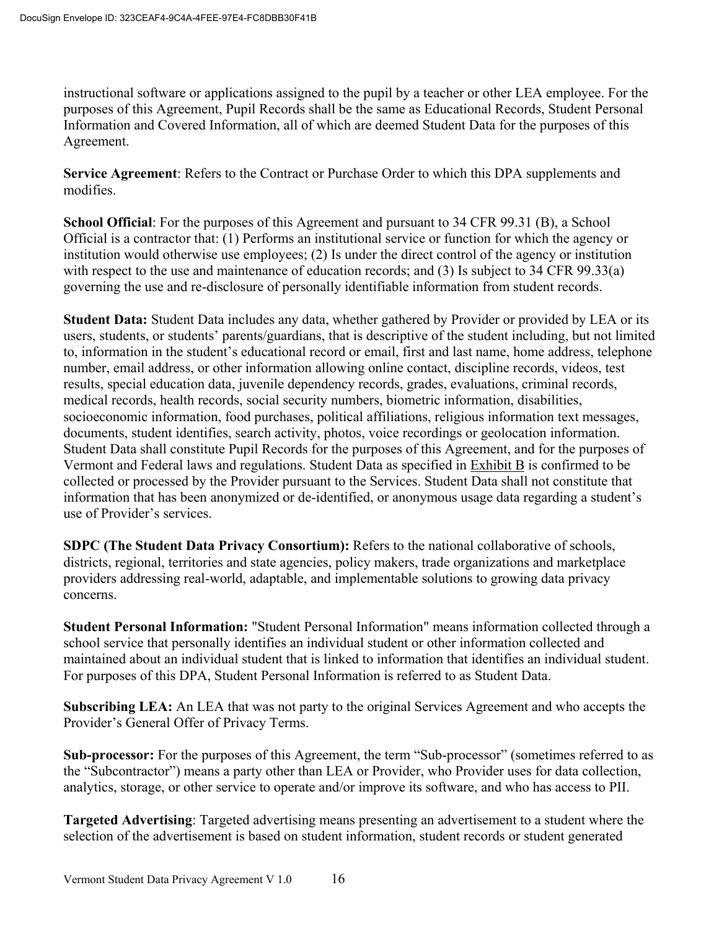instructional software or applications assigned to the pupil by a teacher or other LEA employee. For the purposes of this Agreement, Pupil Records shall be the same as Educational Records, Student Personal Information and Covered Information, all of which are deemed Student Data for the purposes of this Agreement.

**Service Agreement**: Refers to the Contract or Purchase Order to which this DPA supplements and modifies.

**School Official**: For the purposes of this Agreement and pursuant to 34 CFR 99.31 (B), a School Official is a contractor that: (1) Performs an institutional service or function for which the agency or institution would otherwise use employees; (2) Is under the direct control of the agency or institution with respect to the use and maintenance of education records; and (3) Is subject to 34 CFR 99.33(a) governing the use and re-disclosure of personally identifiable information from student records.

**Student Data:** Student Data includes any data, whether gathered by Provider or provided by LEA or its users, students, or students' parents/guardians, that is descriptive of the student including, but not limited to, information in the student's educational record or email, first and last name, home address, telephone number, email address, or other information allowing online contact, discipline records, videos, test results, special education data, juvenile dependency records, grades, evaluations, criminal records, medical records, health records, social security numbers, biometric information, disabilities, socioeconomic information, food purchases, political affiliations, religious information text messages, documents, student identifies, search activity, photos, voice recordings or geolocation information. Student Data shall constitute Pupil Records for the purposes of this Agreement, and for the purposes of Vermont and Federal laws and regulations. Student Data as specified in Exhibit B is confirmed to be collected or processed by the Provider pursuant to the Services. Student Data shall not constitute that information that has been anonymized or de-identified, or anonymous usage data regarding a student's use of Provider's services.

**SDPC (The Student Data Privacy Consortium):** Refers to the national collaborative of schools, districts, regional, territories and state agencies, policy makers, trade organizations and marketplace providers addressing real-world, adaptable, and implementable solutions to growing data privacy concerns.

**Student Personal Information:** "Student Personal Information" means information collected through a school service that personally identifies an individual student or other information collected and maintained about an individual student that is linked to information that identifies an individual student. For purposes of this DPA, Student Personal Information is referred to as Student Data.

**Subscribing LEA:** An LEA that was not party to the original Services Agreement and who accepts the Provider's General Offer of Privacy Terms.

**Sub-processor:** For the purposes of this Agreement, the term "Sub-processor" (sometimes referred to as the "Subcontractor") means a party other than LEA or Provider, who Provider uses for data collection, analytics, storage, or other service to operate and/or improve its software, and who has access to PII.

**Targeted Advertising**: Targeted advertising means presenting an advertisement to a student where the selection of the advertisement is based on student information, student records or student generated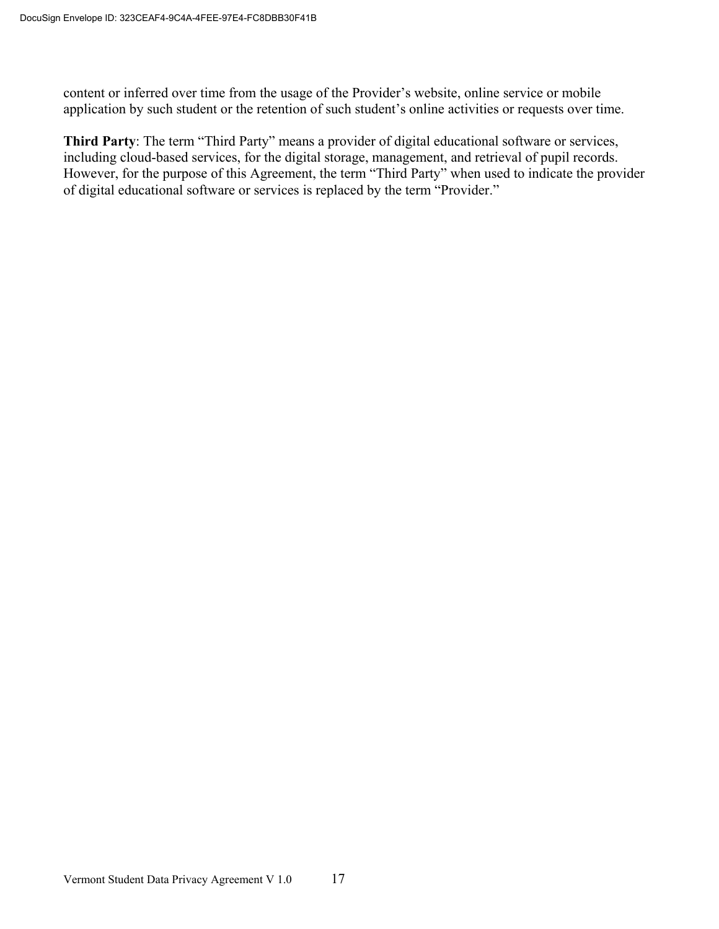content or inferred over time from the usage of the Provider's website, online service or mobile application by such student or the retention of such student's online activities or requests over time.

**Third Party**: The term "Third Party" means a provider of digital educational software or services, including cloud-based services, for the digital storage, management, and retrieval of pupil records. However, for the purpose of this Agreement, the term "Third Party" when used to indicate the provider of digital educational software or services is replaced by the term "Provider."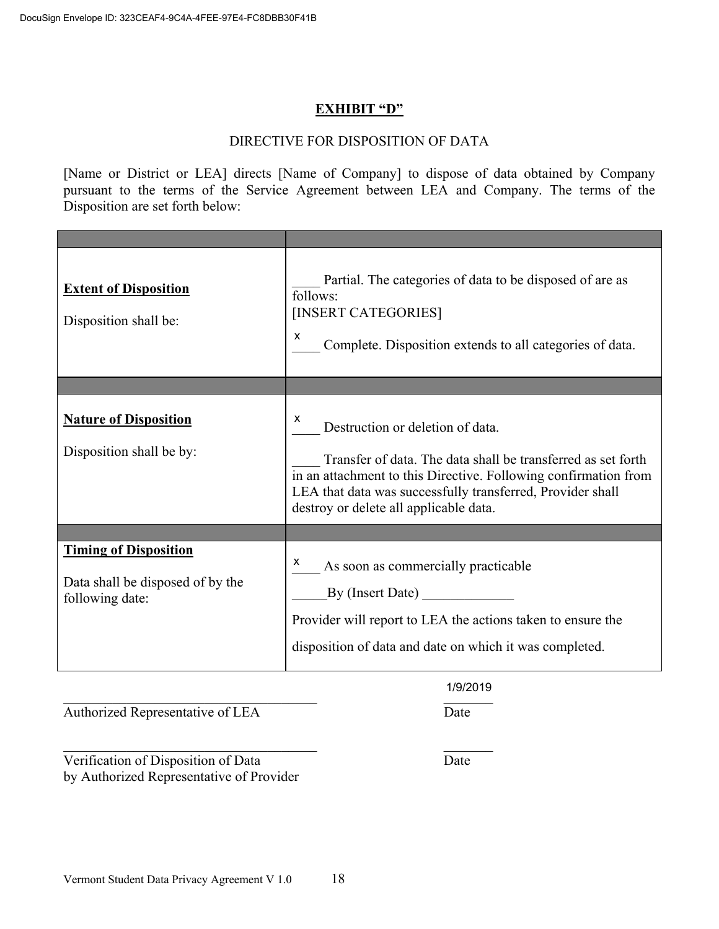### **EXHIBIT "D"**

### DIRECTIVE FOR DISPOSITION OF DATA

[Name or District or LEA] directs [Name of Company] to dispose of data obtained by Company pursuant to the terms of the Service Agreement between LEA and Company. The terms of the Disposition are set forth below:

| <b>Extent of Disposition</b><br>Disposition shall be:                               | Partial. The categories of data to be disposed of are as<br>follows:<br>[INSERT CATEGORIES]<br>x<br>Complete. Disposition extends to all categories of data.                                                                                                                     |
|-------------------------------------------------------------------------------------|----------------------------------------------------------------------------------------------------------------------------------------------------------------------------------------------------------------------------------------------------------------------------------|
|                                                                                     |                                                                                                                                                                                                                                                                                  |
| <b>Nature of Disposition</b><br>Disposition shall be by:                            | X<br>Destruction or deletion of data.<br>Transfer of data. The data shall be transferred as set forth<br>in an attachment to this Directive. Following confirmation from<br>LEA that data was successfully transferred, Provider shall<br>destroy or delete all applicable data. |
|                                                                                     |                                                                                                                                                                                                                                                                                  |
| <b>Timing of Disposition</b><br>Data shall be disposed of by the<br>following date: | As soon as commercially practicable<br>By (Insert Date)<br>Provider will report to LEA the actions taken to ensure the<br>disposition of data and date on which it was completed.                                                                                                |

 $\frac{1}{100 \text{ L}}$  and  $\frac{1}{200 \text{ L}}$  and  $\frac{1}{200 \text{ L}}$  and  $\frac{1}{200 \text{ L}}$  and  $\frac{1}{200 \text{ L}}$  and  $\frac{1}{200 \text{ L}}$  and  $\frac{1}{200 \text{ L}}$  and  $\frac{1}{200 \text{ L}}$  and  $\frac{1}{200 \text{ L}}$  and  $\frac{1}{200 \text{ L}}$  and  $\frac{1}{200 \text{ L}}$  and 1/9/2019

Authorized Representative of LEA Date

Verification of Disposition of Data Date by Authorized Representative of Provider

 $\mathcal{L}_\mathcal{L}$  , and the set of the set of the set of the set of the set of the set of the set of the set of the set of the set of the set of the set of the set of the set of the set of the set of the set of the set of th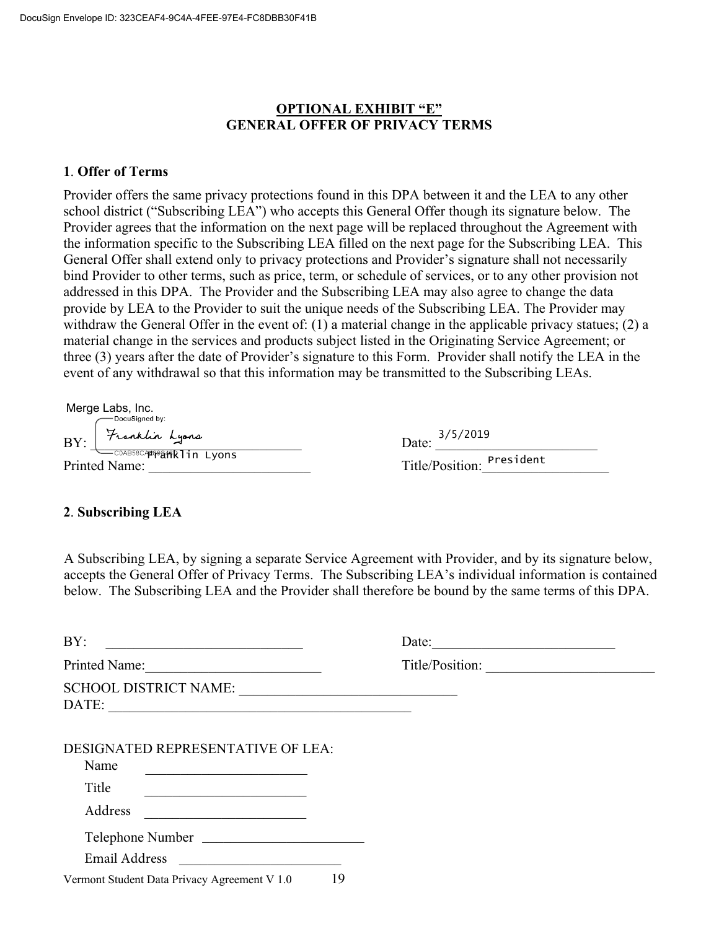### **OPTIONAL EXHIBIT "E" GENERAL OFFER OF PRIVACY TERMS**

#### **1**. **Offer of Terms**

Provider offers the same privacy protections found in this DPA between it and the LEA to any other school district ("Subscribing LEA") who accepts this General Offer though its signature below. The Provider agrees that the information on the next page will be replaced throughout the Agreement with the information specific to the Subscribing LEA filled on the next page for the Subscribing LEA. This General Offer shall extend only to privacy protections and Provider's signature shall not necessarily bind Provider to other terms, such as price, term, or schedule of services, or to any other provision not addressed in this DPA. The Provider and the Subscribing LEA may also agree to change the data provide by LEA to the Provider to suit the unique needs of the Subscribing LEA. The Provider may withdraw the General Offer in the event of: (1) a material change in the applicable privacy statues; (2) a material change in the services and products subject listed in the Originating Service Agreement; or three (3) years after the date of Provider's signature to this Form. Provider shall notify the LEA in the event of any withdrawal so that this information may be transmitted to the Subscribing LEAs.

 $BY: \int \frac{7}{100}$   $\frac{7}{100}$   $\frac{1}{200}$   $\frac{1}{200}$   $\frac{1}{200}$   $\frac{1}{200}$   $\frac{1}{200}$   $\frac{1}{200}$ Printed Name: Merge Labs, Inc.<br>Docusigned by: rranklin Lyons

| 3/5/2019<br>Date:         |  |
|---------------------------|--|
| Title/Position: President |  |

#### **2**. **Subscribing LEA**

A Subscribing LEA, by signing a separate Service Agreement with Provider, and by its signature below, accepts the General Offer of Privacy Terms. The Subscribing LEA's individual information is contained below. The Subscribing LEA and the Provider shall therefore be bound by the same terms of this DPA.

| BY:                                                                                                                                                                                                                                                | Date:           |  |
|----------------------------------------------------------------------------------------------------------------------------------------------------------------------------------------------------------------------------------------------------|-----------------|--|
| Printed Name:                                                                                                                                                                                                                                      | Title/Position: |  |
| DATE:                                                                                                                                                                                                                                              |                 |  |
| DESIGNATED REPRESENTATIVE OF LEA:<br>Name<br>Title<br><u> 1989 - Johann Barbara, martin amerikan basar dan berasal dalam basar dalam basar dalam basar dalam basar dala</u><br>Address<br><u> 1989 - Johann John Stone, mars eta biztanleria (</u> |                 |  |
| Telephone Number<br>Email Address                                                                                                                                                                                                                  |                 |  |
| 19<br>Vermont Student Data Privacy Agreement V 1.0                                                                                                                                                                                                 |                 |  |